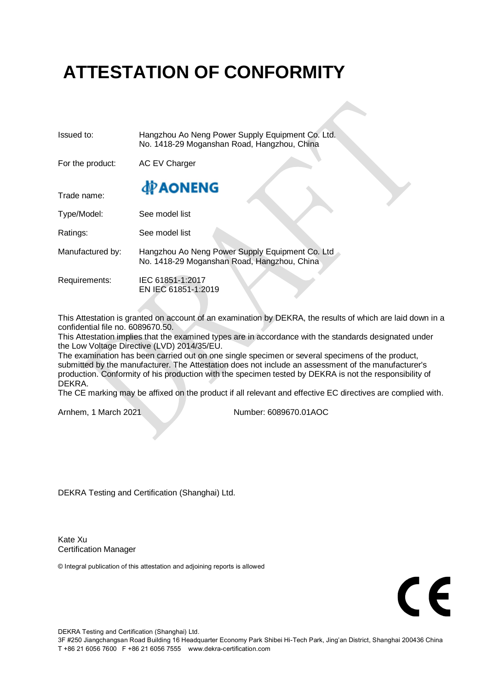## **ATTESTATION OF CONFORMITY**

| Issued to:       | Hangzhou Ao Neng Power Supply Equipment Co. Ltd.<br>No. 1418-29 Moganshan Road, Hangzhou, China |  |  |  |  |
|------------------|-------------------------------------------------------------------------------------------------|--|--|--|--|
| For the product: | <b>AC EV Charger</b>                                                                            |  |  |  |  |
| Trade name:      | <b>PAONENG</b>                                                                                  |  |  |  |  |
| Type/Model:      | See model list                                                                                  |  |  |  |  |
| Ratings:         | See model list                                                                                  |  |  |  |  |
| Manufactured by: | Hangzhou Ao Neng Power Supply Equipment Co. Ltd<br>No. 1418-29 Moganshan Road, Hangzhou, China  |  |  |  |  |
| Requirements:    | IEC 61851-1:2017<br>EN IEC 61851-1:2019                                                         |  |  |  |  |

This Attestation is granted on account of an examination by DEKRA, the results of which are laid down in a confidential file no. 6089670.50.

This Attestation implies that the examined types are in accordance with the standards designated under the Low Voltage Directive (LVD) 2014/35/EU.

The examination has been carried out on one single specimen or several specimens of the product, submitted by the manufacturer. The Attestation does not include an assessment of the manufacturer's production. Conformity of his production with the specimen tested by DEKRA is not the responsibility of DEKRA.

The CE marking may be affixed on the product if all relevant and effective EC directives are complied with.

Arnhem, 1 March 2021 Number: 6089670.01AOC

DEKRA Testing and Certification (Shanghai) Ltd.

Kate Xu Certification Manager

© Integral publication of this attestation and adjoining reports is allowed

## $\mathsf{r}\boldsymbol{\epsilon}$

DEKRA Testing and Certification (Shanghai) Ltd.